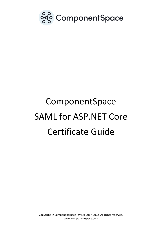

# ComponentSpace SAML for ASP.NET Core Certificate Guide

Copyright © ComponentSpace Pty Ltd 2017-2022. All rights reserved. www.componentspace.com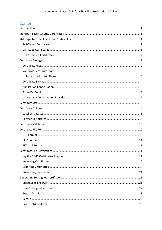# Contents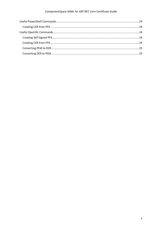## ComponentSpace SAML for ASP.NET Core Certificate Guide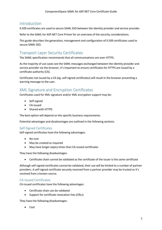## <span id="page-3-0"></span>Introduction

X.509 certificates are used to secure SAML SSO between the identity provider and service provider.

Refer to the SAML for ASP.NET Core Primer for an overview of the security considerations.

This guide describes the generation, management and configuration of X.509 certificates used to secure SAML SSO.

# <span id="page-3-1"></span>Transport Layer Security Certificates

The SAML specification recommends that all communications are over HTTPS.

As the majority of use cases see the SAML messages exchanged between the identity provider and service provider via the browser, it's important to ensure certificates for HTTPS are issued by a certificate authority (CA).

Certificates not issued by a CA (eg. self-signed certificates) will result in the browser presenting a warning message to the user.

# <span id="page-3-2"></span>XML Signature and Encryption Certificates

Certificates used for XML signature and/or XML encryption support may be:

- Self-signed
- CA-issued
- Shared with HTTPS

The best option will depend on the specific business requirements.

Potential advantages and disadvantages are outlined in the following sections.

## <span id="page-3-3"></span>Self-Signed Certificates

Self-signed certificates have the following advantages:

- No cost
- May be created as required
- May have longer expiry times than CA-issued certificates

They have the following disadvantages:

• Certificate chain cannot be validated as the certificate of the issuer is the same certificate

Although self-signed certificates cannot be validated, their use will be limited to a number of partner providers. A self-signed certificate securely received from a partner provider may be trusted as it's received from a known source.

## <span id="page-3-4"></span>CA-Issued Certificates

CA-issued certificates have the following advantages:

- Certificate chain can be validated
- Support for certificate revocation lists (CRLs)

They have the following disadvantages:

• Cost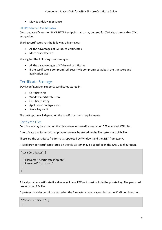• May be a delay in issuance

## <span id="page-4-0"></span>HTTPS Shared Certificates

CA-issued certificates for SAML HTTPS endpoints also may be used for XML signature and/or XML encryption.

Sharing certificates has the following advantages:

- All the advantages of CA-issued certificates
- More cost effective

Sharing has the following disadvantages:

- All the disadvantages of CA-issued certificates
- If the certificate is compromised, security is compromised at both the transport and application layer

## <span id="page-4-1"></span>Certificate Storage

SAML configuration supports certificates stored in:

- Certificate file
- Windows certificate store
- Certificate string
- Application configuration
- Azure key vault

The best option will depend on the specific business requirements.

## <span id="page-4-2"></span>Certificate Files

Certificates may be stored on the file system as base-64 encoded or DER encoded .CER files.

A certificate and its associated private key may be stored on the file system as a .PFX file.

These are the certificate file formats supported by Windows and the .NET framework.

A local provider certificate stored on the file system may be specified in the SAML configuration.

```
"LocalCertificates": [
 {
    "FileName": "certificates/idp.pfx",
    "Password": "password"
  }
\overline{\phantom{a}}
```
A local provider certificate file always will be a .PFX as it must include the private key. The password protects the .PFX file.

A partner provider certificate stored on the file system may be specified in the SAML configuration.

```
"PartnerCertificates": [
 {
```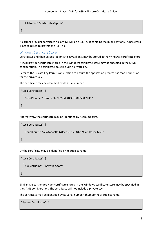```
 "FileName": "certificates/sp.cer"
 }
]
```
A partner provider certificate file always will be a .CER as it contains the public key only. A password is not required to protect the .CER file.

## <span id="page-5-0"></span>Windows Certificate Store

Certificates and their associated private keys, if any, may be stored in the Windows certificate store.

A local provider certificate stored in the Windows certificate store may be specified in the SAML configuration. The certificate must include a private key.

Refer to the Private Key Permissions section to ensure the application process has read permission for the private key.

The certificate may be identified by its serial number.

```
"LocalCertificates": [
  {
   "SerialNumber": "74f0ebfe22358db8433138f9558c9af9"
  }
]
```
Alternatively, the certificate may be identified by its thumbprint.

```
"LocalCertificates": [
 {
   "Thumbprint": "a6a4ae4e0b378ec73678e5812690af50e3ec3769"
  }
\mathbf{I}
```
Or the certificate may be identified by its subject name.

```
"LocalCertificates": [
  {
   "SubjectName": "www.idp.com"
  }
]
```
Similarly, a partner provider certificate stored in the Windows certificate store may be specified in the SAML configuration. The certificate will not include a private key.

The certificate may be identified by its serial number, thumbprint or subject name.

```
"PartnerCertificates": [
 {
```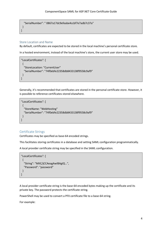```
 "SerialNumber": " 0867a17dc9efeabe4ccbf7e7adb7c37a"
 }
]
```
#### <span id="page-6-0"></span>Store Location and Name

By default, certificates are expected to be stored in the local machine's personal certificate store.

In a hosted environment, instead of the local machine's store, the current user store may be used.

```
"LocalCertificates": [
  {
   "StoreLocation: "CurrentUser"
   "SerialNumber": "74f0ebfe22358db8433138f9558c9af9"
  }
\mathbf{I}
```
Generally, it's recommended that certificates are stored in the personal certificate store. However, it is possible to reference certificates stored elsewhere.

```
"LocalCertificates": [
 {
   "StoreName: "WebHosting"
   "SerialNumber": "74f0ebfe22358db8433138f9558c9af9"
  }
\mathbf{I}
```
## <span id="page-6-1"></span>Certificate Strings

Certificates may be specified as base-64 encoded strings.

This facilitates storing certificates in a database and setting SAML configuration programmatically.

A local provider certificate string may be specified in the SAML configuration.

```
"LocalCertificates": [
 {
   "String": "MIIC/jCCAeagAwIBAgIQ…",
   "Password": "password"
  }
]
```
A local provider certificate string is the base-64 encoded bytes making up the certificate and its private key. The password protects the certificate string.

PowerShell may be used to convert a PFX certificate file to a base-64 string.

For example: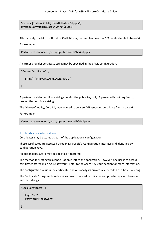\$bytes = [System.IO.File]::ReadAllBytes("idp.pfx") [System.Convert]::ToBase64String(\$bytes)

Alternatively, the Microsoft utility, CertUtil, may be used to convert a PFX certificate file to base-64.

For example:

Certutil.exe -encode c:\certs\idp.pfx c:\certs\b64-idp.pfx

A partner provider certificate string may be specified in the SAML configuration.

```
"PartnerCertificates": [
  {
   "String": "MIIDATCCAemgAwIBAgIQ…"
  }
]
```
A partner provider certificate string contains the public key only. A password is not required to protect the certificate string.

The Microsoft utility, CertUtil, may be used to convert DER-encoded certificate files to base-64.

For example:

```
Certutil.exe -encode c:\certs\idp.cer c:\certs\b64-idp.cer
```
## <span id="page-7-0"></span>Application Configuration

Certificates may be stored as part of the application's configuration.

These certificates are accessed through Microsoft's IConfiguration interface and identified by configuration keys.

An optional password may be specified if required.

The method for setting this configuration is left to the application. However, one use is to access certificates stored in an Azure key vault. Refer to the Azure Key Vault section for more information.

The configuration value is the certificate, and optionally its private key, encoded as a base-64 string.

The Certificate Strings section describes how to convert certificates and private keys into base-64 encoded strings.

```
"LocalCertificates": [
  {
   "Key": "IdP"
   "Password": "password"
  }
\mathbf{I}
```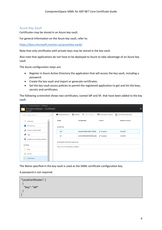## <span id="page-8-0"></span>Azure Key Vault

Certificates may be stored in an Azure key vault.

For general information on the Azure key vault, refer to:

<https://docs.microsoft.com/en-us/azure/key-vault/>

Note that only certificates with private keys may be stored in the key vault.

Also note that applications do not have to be deployed to Azure to take advantage of an Azure key vault.

The Azure configuration steps are:

- Register in Azure Active Directory the application that will access the key vault, including a password.
- Create the key vault and import or generate certificates.
- Set the key vault access policies to permit the registered application to get and list the keys, secrets and certificates.

The following screenshot shows two certificates, named IdP and SP, that have been added to the key vault.

| Home > ComponentSpace - Certificates          |                                      |                                                                                                                               |               |                        |          |
|-----------------------------------------------|--------------------------------------|-------------------------------------------------------------------------------------------------------------------------------|---------------|------------------------|----------|
| ComponentSpace - Certificates<br>Key vault    |                                      |                                                                                                                               |               |                        | $\times$ |
| Search (Ctrl+/)<br>$\ll$<br>Q                 |                                      | Generate/Import $\bigcirc$ Refresh $\bar{\wedge}$ Restore Backup $\Box$ Certificate Contacts $\vdots$ Certificate Authorities |               |                        |          |
| Overview<br>Y)                                | <b>NAME</b>                          | <b>THUMBPRINT</b>                                                                                                             | <b>STATUS</b> | <b>EXPIRATION DATE</b> |          |
| Activity log                                  | COMPLETED                            |                                                                                                                               |               |                        |          |
| Access control (IAM)<br>$\mathbf{a}$          | IdP                                  | A6A4AE4E0B378EC73678E √ Enabled                                                                                               |               | 1/1/2050               |          |
| Tags                                          | SP                                   | 427A3D5B39DF593B1D44B √ Enabled                                                                                               |               | 1/1/2050               |          |
| $\mathsf{\times}$ Diagnose and solve problems |                                      |                                                                                                                               |               |                        |          |
|                                               | IN PROGRESS, FAILED OR CANCELLED     |                                                                                                                               |               |                        |          |
| <b>SETTINGS</b>                               | There are no certificates available. |                                                                                                                               |               |                        |          |
| Keys                                          |                                      |                                                                                                                               |               |                        |          |
| FA.<br>Secrets                                |                                      |                                                                                                                               |               |                        |          |
| Certificates                                  |                                      |                                                                                                                               |               |                        |          |

The Name specified in the key vault is used as the SAML certificate configuration key.

#### A password is not required.

```
"LocalCertificates": [
  {
    "Key": "IdP"
  }
\mathbf{I}
```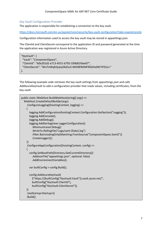## <span id="page-9-0"></span>Key Vault Configuration Provider

The application is responsible for establishing a connection to the key vault.

<https://docs.microsoft.com/en-us/aspnet/core/security/key-vault-configuration?tabs=aspnetcore2x>

Configuration information used to access the key vault may be stored in appsettings.json.

The ClientId and ClientSecret correspond to the application ID and password generated at the time the application was registered in Azure Active Directory.

```
"KeyVault": {
  "Vault": "ComponentSpace",
  "ClientId": "60e201d2-e713-4551-b792-339b81fdae07",
  "ClientSecret": "Wn7mlKqhQcpIyDkZIu2+WlO8F8IIMFRXGHx94CYPZUo="
},
```
The following example code retrieves the key vault settings from appsettings.json and calls AddAzureKeyVault to add a configuration provider that reads values, including certificates, from the key vault.

```
public static IWebHost BuildWebHost(string[] args) =>
   WebHost.CreateDefaultBuilder(args)
     .ConfigureLogging((hostingContext, logging) =>
     {
       logging.AddConfiguration(hostingContext.Configuration.GetSection("Logging"));
       logging.AddConsole();
       logging.AddDebug();
       logging.AddSerilog(new LoggerConfiguration()
          .MinimumLevel.Debug()
          .WriteTo.RollingFile("Logs/saml-{Date}.log")
          .Filter.ByIncludingOnly(Matching.FromSource("ComponentSpace.Saml2"))
          .CreateLogger());
     })
     .ConfigureAppConfiguration((hostingContext, config) =>
     {
       config.SetBasePath(Directory.GetCurrentDirectory())
          .AddJsonFile("appsettings.json", optional: false)
          .AddEnvironmentVariables();
      var builtConfig = config.Build();
       config.AddAzureKeyVault(
          $"https://{builtConfig["KeyVault:Vault"]}.vault.azure.net/",
          builtConfig["KeyVault:ClientId"],
          builtConfig["KeyVault:ClientSecret"]);
     })
     .UseStartup<Startup>()
     .Build();
```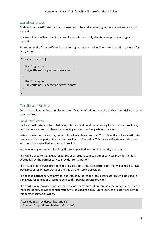# <span id="page-10-0"></span>Certificate Use

By default, any certificate specified is assumed to be available for signature support and encryption support.

However, it is possible to limit the use of a certificate to only signature support or encryption support.

For example, the first certificate is used for signature generation. The second certificate is used for decryption.

```
"LocalCertificates": [
  {
   "Use: "Signature"
   "SubjectName": "signature-www.sp.com"
  },
  {
   "Use: "Encryption"
   "SubjectName": "encryption-www.sp.com"
  }
]
```
# <span id="page-10-1"></span>Certificate Rollover

Certificate rollover refers to replacing a certificate that's about to expire or that potentially has been compromised.

## <span id="page-10-2"></span>Local Certificates

If a local certificate is to be rolled over, this may be done simultaneously for all partner providers, but this may present problems coordinating with each of the partner providers.

Instead, a new certificate may be introduced in a phased roll out. To achieve this, a local certificate can be specified as part of the partner provider configuration. This local certificate overrides any local certificate specified for the local provider.

In the following example, a local certificate is specified for the local identity provider.

This will be used to sign SAML responses or assertions sent to partner services providers, unless overridden by the partner service provider configuration.

The first partner service provider specifies idp1.pfx as the local certificate. This will be used to sign SAML responses or assertions sent to this partner service provider.

The second partner service provider specifies idp2.pfx as the local certificate. This will be used to sign SAML responses or assertions sent to this partner service provider.

The third service provider doesn't specify a local certificate. Therefore, idp.pfx, which is specified in the local identity provider configuration, will be used to sign SAML responses or assertions sent to this partner service provider.

"LocalIdentityProviderConfiguration": { "Name": "http://ExampleIdentityProvider",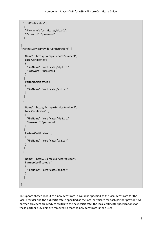```
 "LocalCertificates": [
   {
    "FileName": "certificates/idp.pfx",
    "Password": "password"
   }
 ]
},
"PartnerServiceProviderConfigurations": [
 {
   "Name": "http://ExampleServiceProvider1",
   "LocalCertificates": [
   \{ "FileName": "certificates/idp1.pfx",
      "Password": "password"
    }
   ],
   "PartnerCertificates": [
    {
      "FileName": "certificates/sp1.cer"
    }
   ]
  },
  {
   "Name": "http://ExampleServiceProvider2",
   "LocalCertificates": [
   \left\{ \right. "FileName": "certificates/idp2.pfx",
      "Password": "password"
    }
   ],
   "PartnerCertificates": [
    {
      "FileName": "certificates/sp2.cer"
    }
   ]
  },
  {
   "Name": "http://ExampleServiceProvider"3,
   "PartnerCertificates": [
    {
      "FileName": "certificates/sp3.cer"
    }
   ]
  }
]
```
To support phased rollout of a new certificate, it could be specified as the local certificate for the local provider and the old certificate is specified as the local certificate for each partner provider. As partner providers are ready to switch to the new certificate, the local certificate specifications for these partner providers are removed so that the new certificate is then used.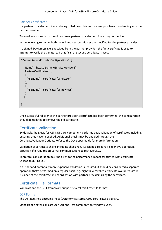## <span id="page-12-0"></span>Partner Certificates

If a partner provider certificate is being rolled over, this may present problems coordinating with the partner provider.

To avoid any issues, both the old and new partner provider certificate may be specified.

In the following example, both the old and new certificates are specified for the partner provider.

If a signed SAML message is received from the partner provider, the first certificate is used to attempt to verify the signature. If that fails, the second certificate is used.

```
"PartnerServiceProviderConfigurations": [
 {
   "Name": "http://ExampleServiceProvider1",
   "PartnerCertificates": [
    \left\{ \right. "FileName": "certificates/sp-old.cer"
     },
\left\{ \begin{array}{c} \end{array} \right\} "FileName": "certificates/sp-new.cer"
     }
   ]
  }
\mathbf{1}
```
Once successful rollover of the partner provider's certificate has been confirmed, the configuration should be updated to remove the old certificate.

## <span id="page-12-1"></span>Certificate Validation

By default, the SAML for ASP.NET Core component performs basic validation of certificates including ensuring they haven't expired. Additional checks may be enabled through the CertificateValidationOptions. Refer to the Developer Guide for more information.

Validation of certificate chains including checking CRLs can be a relatively expensive operation, especially if it requires off-server communications to retrieve CRLs.

Therefore, consideration must be given to the performance impact associated with certificate validation during SSO.

If further and potentially more expensive validation is required, it should be considered a separate operation that's performed on a regular basis (e.g. nightly). A revoked certificate would require reissuance of the certificate and coordination with partner providers using the certificate.

## <span id="page-12-2"></span>Certificate File Formats

Windows and the .NET framework support several certificate file formats.

## <span id="page-12-3"></span>DER Format

The Distinguished Encoding Rules (DER) format stores X.509 certificates as binary.

Standard file extensions are .cer, .crt and, less commonly on Windows, .der.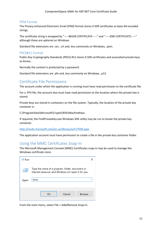## <span id="page-13-0"></span>PEM Format

The Privacy-enhanced Electronic Email (PEM) format stores X.509 certificates as base-64 encoded strings.

The certificate string is wrapped by "-----BEGIN CERTIFICATE-----" and "-----END CERTIFICATE-----" although these are optional on Windows.

Standard file extensions are .cer, .crt and, less commonly on Windows, .pem.

## <span id="page-13-1"></span>PKCS#12 Format

Public-Key Cryptography Standards (PKCS) #12 stores X.509 certificates and associated private keys as binary.

Normally the content is protected by a password.

Standard file extensions are .pfx and, less commonly on Windows, .p12.

## <span id="page-13-2"></span>Certificate File Permissions

The account under which the application is running must have read permission to the certificate file.

For a .PFX file, the account also must have read permission to the location where the private key is stored.

Private keys are stored in containers on the file system. Typically, the location of the private key container is:

C:\ProgramData\Microsoft\Crypto\RSA\MachineKeys

If required, the FindPrivateKey.exe Windows SDK utility may be run to locate the private key container.

<http://msdn.microsoft.com/en-us/library/aa717039.aspx>

The application account must have permission to create a file in the private key container folder.

## <span id="page-13-3"></span>Using the MMC Certificates Snap-In

The Microsoft Management Console (MMC) Certificates snap-in may be used to manage the Windows certificate store.

| <i>⊟</i> ⁄ Run |                                                                                                         |              |
|----------------|---------------------------------------------------------------------------------------------------------|--------------|
|                | Type the name of a program, folder, document or<br>Internet resource, and Windows will open it for you. |              |
| $Q$ pen:       | mmc                                                                                                     | $\checkmark$ |
|                |                                                                                                         |              |
|                | Cancel<br>OK<br>Browse                                                                                  |              |

From the main menu, select File > Add/Remove Snap-in.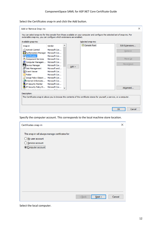Select the Certificates snap-in and click the Add button.

| Add or Remove Snap-ins                                               |               |         |                                                                                                                                | $\times$        |
|----------------------------------------------------------------------|---------------|---------|--------------------------------------------------------------------------------------------------------------------------------|-----------------|
| extensible snap-ins, you can configure which extensions are enabled. |               |         | You can select snap-ins for this console from those available on your computer and configure the selected set of snap-ins. For |                 |
| Available snap-ins:                                                  |               |         | Selected snap-ins:<br>Console Root                                                                                             |                 |
| Snap-in                                                              | Vendor        |         |                                                                                                                                | Edit Extensions |
| <b>ActiveX Control</b>                                               | Microsoft Cor |         |                                                                                                                                | Remove          |
| Authorization Manager Microsoft Cor                                  |               |         |                                                                                                                                |                 |
| 司 Certificates                                                       | Microsoft Cor |         |                                                                                                                                |                 |
| <b>Component Services</b>                                            | Microsoft Cor |         |                                                                                                                                | Move Up         |
| Computer Managem                                                     | Microsoft Cor |         |                                                                                                                                |                 |
| Device Manager                                                       | Microsoft Cor | $Add$ > |                                                                                                                                | Move Down       |
| <b>T</b> Disk Management                                             | Microsoft and |         |                                                                                                                                |                 |
| <b>I Event Viewer</b>                                                | Microsoft Cor |         |                                                                                                                                |                 |
| <b>Folder</b>                                                        | Microsoft Cor |         |                                                                                                                                |                 |
| 目<br>Group Policy Object  Microsoft Cor                              |               |         |                                                                                                                                |                 |
| Internet Informatio Microsoft Cor                                    |               |         |                                                                                                                                |                 |
| 侵 IP Security Monitor                                                | Microsoft Cor |         |                                                                                                                                |                 |
| 侧 IP Security Policy M Microsoft Cor                                 |               |         |                                                                                                                                | Advanced        |
|                                                                      |               |         |                                                                                                                                |                 |
| Description:                                                         |               |         |                                                                                                                                |                 |
|                                                                      |               |         | The Certificates snap-in allows you to browse the contents of the certificate stores for yourself, a service, or a computer.   |                 |
|                                                                      |               |         |                                                                                                                                |                 |
|                                                                      |               |         |                                                                                                                                |                 |
|                                                                      |               |         |                                                                                                                                |                 |
|                                                                      |               |         | OK                                                                                                                             | Cancel          |

Specify the computer account. This corresponds to the local machine store location.

| Certificates snap-in                                                                                            | $\times$ |
|-----------------------------------------------------------------------------------------------------------------|----------|
| This snap-in will always manage certificates for:<br>◯ My user account<br>◯ Service account<br>Computer account |          |
| Next<br>$<$ Back                                                                                                | Cancel   |

Select the local computer.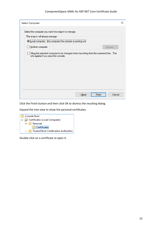#### ComponentSpace SAML for ASP.NET Core Certificate Guide

| <b>Select Computer</b>                                                                                                                                        | x |
|---------------------------------------------------------------------------------------------------------------------------------------------------------------|---|
| Select the computer you want this snap-in to manage.<br>This snap-in will always manage:<br><b>OLocal computer:</b> (the computer this console is running on) |   |
| ◯ Another computer:<br>Browse                                                                                                                                 |   |
| Allow the selected computer to be changed when launching from the command line. This<br>only applies if you save the console.                                 |   |
|                                                                                                                                                               |   |
| Finish<br>Cancel<br>< Back                                                                                                                                    |   |

Click the Finish button and then click OK to dismiss the resulting dialog.

Expand the tree view to show the personal certificates.



Double-click on a certificate to open it.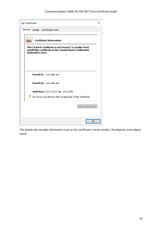| <b>an</b> Certificate                                                                                                                                | $\times$ |
|------------------------------------------------------------------------------------------------------------------------------------------------------|----------|
| General<br>Certification Path<br><b>Details</b>                                                                                                      |          |
| <b>Certificate Information</b>                                                                                                                       |          |
| This CA Root certificate is not trusted. To enable trust,<br>install this certificate in the Trusted Root Certification<br><b>Authorities store.</b> |          |
|                                                                                                                                                      |          |
| Issued to: www.idp.com                                                                                                                               |          |
| Issued by: www.idp.com                                                                                                                               |          |
| Valid from 22/11/2013 to 1/01/2050                                                                                                                   |          |
| You have a private key that corresponds to this certificate.                                                                                         |          |
| <b>Issuer Statement</b>                                                                                                                              |          |
|                                                                                                                                                      |          |

The details tab includes information such as the certificate's serial number, thumbprint, and subject name.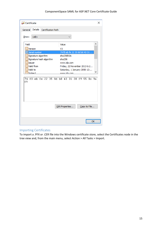| <b>an</b> Certificate                 |                                                               |                                  |                                                                                                                                                    |  |  |                    |   | x |
|---------------------------------------|---------------------------------------------------------------|----------------------------------|----------------------------------------------------------------------------------------------------------------------------------------------------|--|--|--------------------|---|---|
| General                               | Details                                                       | Certification Path.              |                                                                                                                                                    |  |  |                    |   |   |
| Show:                                 | M>                                                            |                                  |                                                                                                                                                    |  |  |                    |   |   |
| Field<br>圖 Version                    |                                                               |                                  | Value<br>V3                                                                                                                                        |  |  |                    | A |   |
| lIssuer<br>lei<br><b>li∃</b> Valid to | Serial number<br>Signature algorithm<br>Valid from<br>Subject | Signature hash algorithm         | 74 f0 eb fe 22 35 8d b8 43 31<br>sha256RSA<br>sha256<br>www.idp.com<br>Friday, 22 November 2013 6:2<br>Saturday, 1 January 2050 12:<br>www.idn.com |  |  |                    | w |   |
| 74.<br>f9                             |                                                               | f0 eb fe 22 35 8d b8 43 31 38 f9 |                                                                                                                                                    |  |  | 55 8c 9a           |   |   |
|                                       |                                                               |                                  | Edit Properties                                                                                                                                    |  |  | Copy to File<br>OК |   |   |

## <span id="page-17-0"></span>Importing Certificates

To import a .PFX or .CER file into the Windows certificate store, select the Certificates node in the tree view and, from the main menu, select Action > All Tasks > Import.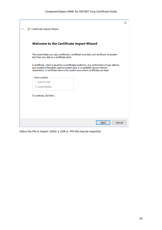| Certificate Import Wizard                                                                                                                                                                                                                                           | $\times$ |
|---------------------------------------------------------------------------------------------------------------------------------------------------------------------------------------------------------------------------------------------------------------------|----------|
| Welcome to the Certificate Import Wizard                                                                                                                                                                                                                            |          |
| This wizard helps you copy certificates, certificate trust lists, and certificate revocation<br>lists from your disk to a certificate store.                                                                                                                        |          |
| A certificate, which is issued by a certification authority, is a confirmation of your identity<br>and contains information used to protect data or to establish secure network<br>connections. A certificate store is the system area where certificates are kept. |          |
| <b>Store Location</b>                                                                                                                                                                                                                                               |          |
| ◯ Current User                                                                                                                                                                                                                                                      |          |
| <b><i>O</i></b> Local Machine                                                                                                                                                                                                                                       |          |
| To continue, click Next.                                                                                                                                                                                                                                            |          |
| Cancel<br>Next                                                                                                                                                                                                                                                      |          |

Select the file to import. Either a .CER or .PFX file may be imported.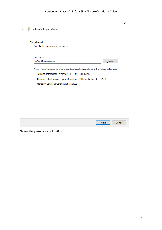|                                                                                          | $\times$ |
|------------------------------------------------------------------------------------------|----------|
| Certificate Import Wizard                                                                |          |
| <b>File to Import</b>                                                                    |          |
| Specify the file you want to import.                                                     |          |
|                                                                                          |          |
| File name:                                                                               |          |
| c:\certificates\sp.cer<br>Browse                                                         |          |
| Note: More than one certificate can be stored in a single file in the following formats: |          |
| Personal Information Exchange-PKCS #12 (.PFX,.P12)                                       |          |
| Cryptographic Message Syntax Standard-PKCS #7 Certificates (.P7B)                        |          |
| Microsoft Serialised Certificate Store (.SST)                                            |          |
|                                                                                          |          |
|                                                                                          |          |
|                                                                                          |          |
|                                                                                          |          |
|                                                                                          |          |
|                                                                                          |          |
| Cancel<br>Next                                                                           |          |

Choose the personal store location.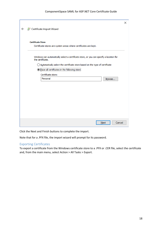|              |                                                                                                             | $\times$ |
|--------------|-------------------------------------------------------------------------------------------------------------|----------|
| $\leftarrow$ | Certificate Import Wizard                                                                                   |          |
|              |                                                                                                             |          |
|              | <b>Certificate Store</b>                                                                                    |          |
|              | Certificate stores are system areas where certificates are kept.                                            |          |
|              | Windows can automatically select a certificate store, or you can specify a location for<br>the certificate. |          |
|              | $\bigcirc$ Automatically select the certificate store based on the type of certificate                      |          |
|              | <sup>O</sup> Place all certificates in the following store                                                  |          |
|              | Certificate store:                                                                                          |          |
|              | Personal<br>Browse                                                                                          |          |
|              |                                                                                                             |          |
|              |                                                                                                             |          |
|              |                                                                                                             |          |
|              |                                                                                                             |          |
|              |                                                                                                             |          |
|              |                                                                                                             |          |
|              |                                                                                                             |          |
|              |                                                                                                             |          |
|              | Cancel<br>Next                                                                                              |          |

Click the Next and Finish buttons to complete the import.

Note that for a .PFX file, the import wizard will prompt for its password.

## <span id="page-20-0"></span>Exporting Certificates

To export a certificate from the Windows certificate store to a .PFX or .CER file, select the certificate and, from the main menu, select Action > All Tasks > Export.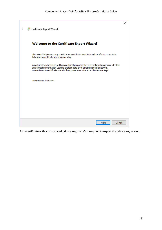| Certificate Export Wizard                                                                                                                                                                                                                                           | X |
|---------------------------------------------------------------------------------------------------------------------------------------------------------------------------------------------------------------------------------------------------------------------|---|
| <b>Welcome to the Certificate Export Wizard</b>                                                                                                                                                                                                                     |   |
| This wizard helps you copy certificates, certificate trust lists and certificate revocation<br>lists from a certificate store to your disk.                                                                                                                         |   |
| A certificate, which is issued by a certification authority, is a confirmation of your identity<br>and contains information used to protect data or to establish secure network<br>connections. A certificate store is the system area where certificates are kept. |   |
| To continue, click Next.                                                                                                                                                                                                                                            |   |
|                                                                                                                                                                                                                                                                     |   |
|                                                                                                                                                                                                                                                                     |   |
| Cancel<br>Next                                                                                                                                                                                                                                                      |   |

For a certificate with an associated private key, there's the option to export the private key as well.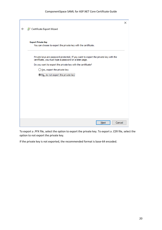|                                                                                                                                               | $\times$ |
|-----------------------------------------------------------------------------------------------------------------------------------------------|----------|
| Certificate Export Wizard                                                                                                                     |          |
|                                                                                                                                               |          |
| <b>Export Private Key</b>                                                                                                                     |          |
| You can choose to export the private key with the certificate.                                                                                |          |
| Private keys are password protected. If you want to export the private key with the<br>certificate, you must type a password on a later page. |          |
| Do you want to export the private key with the certificate?                                                                                   |          |
| ◯ Yes, export the private key                                                                                                                 |          |
| No, do not export the private key!                                                                                                            |          |
|                                                                                                                                               |          |
|                                                                                                                                               |          |
|                                                                                                                                               |          |
|                                                                                                                                               |          |
|                                                                                                                                               |          |
|                                                                                                                                               |          |
|                                                                                                                                               |          |
|                                                                                                                                               |          |
| Cancel<br><b>Next</b>                                                                                                                         |          |

To export a .PFX file, select the option to export the private key. To export a .CER file, select the option to not export the private key.

If the private key is not exported, the recommended format is base-64 encoded.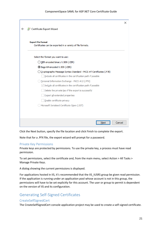|                                                                       | X |
|-----------------------------------------------------------------------|---|
| Certificate Export Wizard                                             |   |
|                                                                       |   |
| <b>Export File Format</b>                                             |   |
| Certificates can be exported in a variety of file formats.            |   |
| Select the format you want to use:                                    |   |
| ◯ DER encoded binary X.509 (.CER)                                     |   |
| <b>6 Base-64 encoded X.509 (.CER)</b>                                 |   |
| O Cryptographic Message Syntax Standard - PKCS #7 Certificates (.P7B) |   |
| Include all certificates in the certification path if possible        |   |
| Personal Information Exchange - PKCS #12 (.PFX)                       |   |
| $\vee$ Indude all certificates in the certification path if possible  |   |
| Delete the private key if the export is successful                    |   |
| Export all extended properties                                        |   |
| Enable certificate privacy                                            |   |
| Microsoft Serialised Certificate Store (.SST)                         |   |
|                                                                       |   |
|                                                                       |   |
| Cancel<br>Next                                                        |   |

Click the Next button, specify the file location and click Finish to complete the export.

Note that for a .PFX file, the export wizard will prompt for a password.

## <span id="page-23-0"></span>Private Key Permissions

Private keys are protected by permissions. To use the private key, a process must have read permission.

To set permissions, select the certificate and, from the main menu, select Action > All Tasks > Manage Private Keys.

A dialog showing the current permissions is displayed.

For applications hosted in IIS, it's recommended that the IIS IUSRS group be given read permission. If the application is running under an application pool whose account is not in this group, the permissions will have to be set explicitly for this account. The user or group to permit is dependent on the version of IIS and its configuration.

## <span id="page-23-1"></span>Generating Self-Signed Certificates

## <span id="page-23-2"></span>CreateSelfSignedCert

The CreateSelfSignedCert console application project may be used to create a self-signed certificate.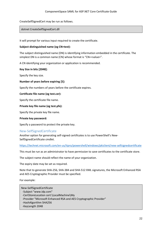CreateSelfSignedCert may be run as follows.

#### dotnet CreateSelfSignedCert.dll

It will prompt for various input required to create the certificate.

#### **Subject distinguished name (eg CN=test):**

The subject distinguished name (DN) is identifying information embedded in the certificate. The simplest DN is a common name (CN) whose format is "CN=<value>".

A CN identifying your organization or application is recommended.

#### **Key Size in bits [2048]:**

Specify the key size.

#### **Number of years before expiring [5]:**

Specify the numbers of years before the certificate expires.

#### **Certificate file name (eg test.cer):**

Specify the certificate file name.

#### **Private key file name (eg test.pfx):**

Specify the private key file name.

#### **Private key password:**

Specify a password to protect the private key.

## <span id="page-24-0"></span>New-SelfSignedCertificate

Another option for generating self-signed certificates is to use PowerShell's New-SelfSignedCertificate cmdlet.

<https://technet.microsoft.com/en-us/itpro/powershell/windows/pkiclient/new-selfsignedcertificate>

This must be run as an administrator to have permission to save certificates to the certificate store.

The subject name should reflect the name of your organization.

The expiry date may be set as required.

Note that to generate SHA-256, SHA-384 and SHA-512 XML signatures, the Microsoft Enhanced RSA and AES Cryptographic Provider must be specified.

For example:

| New-SelfSignedCertificate                                         |
|-------------------------------------------------------------------|
| -Subject "www.idp.com"                                            |
| -CertStoreLocation cert:\LocalMachine\My                          |
| -Provider "Microsoft Enhanced RSA and AES Cryptographic Provider" |
| -HashAlgorithm SHA256                                             |
| -KeyLength 2048                                                   |
|                                                                   |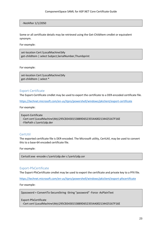-NotAfter 1/1/2050

Some or all certificate details may be retrieved using the Get-ChildItem cmdlet or equivalent synonym.

For example:

set-location Cert:\LocalMachine\My get-childItem | select Subject,SerialNumber,Thumbprint

For example:

set-location Cert:\LocalMachine\My get-childItem | select \*

## <span id="page-25-0"></span>Export-Certificate

The Export-Certificate cmdlet may be used to export the certificate to a DER-encoded certificate file.

<https://technet.microsoft.com/en-us/itpro/powershell/windows/pkiclient/export-certificate>

For example:

Export-Certificate -Cert cert:\LocalMachine\My\295CB3430153889D6523554A002134425167F16E -FilePath c:\certs\idp.der

## <span id="page-25-1"></span>CertUtil

The exported certificate file is DER-encoded. The Microsoft utility, CertUtil, may be used to convert this to a base-64 encoded certificate file.

For example:

```
Certutil.exe -encode c:\certs\idp.der c:\certs\idp.cer
```
## <span id="page-25-2"></span>Export-PfxCertificate

The Export-PfxCertificate cmdlet may be used to export the certificate and private key to a PFX file.

<https://technet.microsoft.com/en-us/itpro/powershell/windows/pkiclient/export-pfxcertificate>

For example:

\$password = ConvertTo-SecureString -String "password" -Force -AsPlainText

Export-PfxCertificate

-Cert cert:\LocalMachine\My\295CB3430153889D6523554A002134425167F16E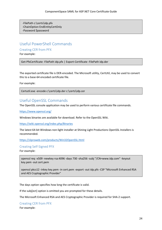-FilePath c:\certs\idp.pfx -ChainOption EndEntityCertOnly -Password \$password

# <span id="page-26-0"></span>Useful PowerShell Commands

<span id="page-26-1"></span>Creating CER from PFX

For example:

Get-PfxCertificate -FilePath idp.pfx | Export-Certificate -FilePath idp.der

The exported certificate file is DER-encoded. The Microsoft utility, CertUtil, may be used to convert this to a base-64 encoded certificate file.

For example:

Certutil.exe -encode c:\certs\idp.der c:\certs\idp.cer

## <span id="page-26-2"></span>Useful OpenSSL Commands

The OpenSSL console application may be used to perform various certificate file commands.

<https://www.openssl.org/>

Windows binaries are available for download. Refer to the OpenSSL Wiki.

<https://wiki.openssl.org/index.php/Binaries>

The latest 64-bit Windows non-light installer at Shining Light Productions OpenSSL Installers is recommended.

<https://slproweb.com/products/Win32OpenSSL.html>

## <span id="page-26-3"></span>Creating Self-Signed PFX

For example:

openssl req -x509 -newkey rsa:4096 -days 730 -sha256 -subj "/CN=www.idp.com" -keyout key.pem -out cert.pem

openssl pkcs12 -inkey key.pem -in cert.pem -export -out idp.pfx -CSP "Microsoft Enhanced RSA and AES Cryptographic Provider"

The days option specifies how long the certificate is valid.

If the subj[ect] option is omitted you are prompted for these details.

The Microsoft Enhanced RSA and AES Cryptographic Provider is required for SHA-2 support.

<span id="page-26-4"></span>Creating CER from PFX

For example: